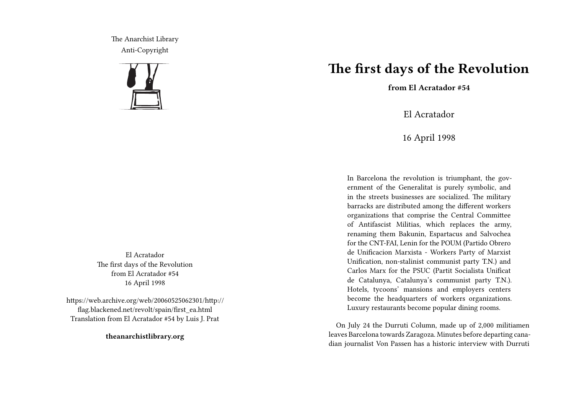The Anarchist Library Anti-Copyright



El Acratador The first days of the Revolution from El Acratador #54 16 April 1998

https://web.archive.org/web/20060525062301/http:// flag.blackened.net/revolt/spain/first\_ea.html Translation from El Acratador #54 by Luis J. Prat

**theanarchistlibrary.org**

## **The first days of the Revolution**

**from El Acratador #54**

El Acratador

16 April 1998

In Barcelona the revolution is triumphant, the government of the Generalitat is purely symbolic, and in the streets businesses are socialized. The military barracks are distributed among the different workers organizations that comprise the Central Committee of Antifascist Militias, which replaces the army, renaming them Bakunin, Espartacus and Salvochea for the CNT-FAI, Lenin for the POUM (Partido Obrero de Unificacion Marxista - Workers Party of Marxist Unification, non-stalinist communist party T.N.) and Carlos Marx for the PSUC (Partit Socialista Unificat de Catalunya, Catalunya's communist party T.N.). Hotels, tycoons' mansions and employers centers become the headquarters of workers organizations. Luxury restaurants become popular dining rooms.

On July 24 the Durruti Column, made up of 2,000 militiamen leaves Barcelona towards Zaragoza. Minutes before departing canadian journalist Von Passen has a historic interview with Durruti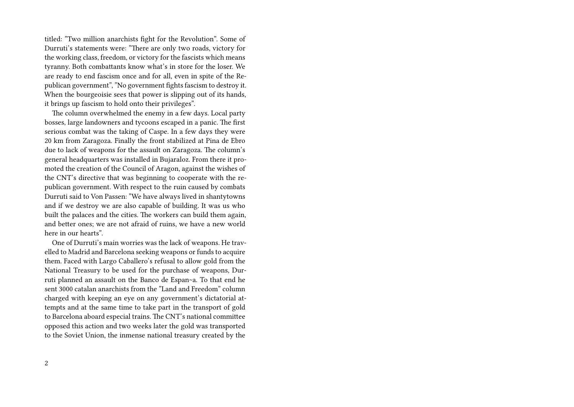titled: "Two million anarchists fight for the Revolution". Some of Durruti's statements were: "There are only two roads, victory for the working class, freedom, or victory for the fascists which means tyranny. Both combattants know what's in store for the loser. We are ready to end fascism once and for all, even in spite of the Republican government", "No government fights fascism to destroy it. When the bourgeoisie sees that power is slipping out of its hands, it brings up fascism to hold onto their privileges".

The column overwhelmed the enemy in a few days. Local party bosses, large landowners and tycoons escaped in a panic. The first serious combat was the taking of Caspe. In a few days they were 20 km from Zaragoza. Finally the front stabilized at Pina de Ebro due to lack of weapons for the assault on Zaragoza. The column's general headquarters was installed in Bujaraloz. From there it promoted the creation of the Council of Aragon, against the wishes of the CNT's directive that was beginning to cooperate with the republican government. With respect to the ruin caused by combats Durruti said to Von Passen: "We have always lived in shantytowns and if we destroy we are also capable of building. It was us who built the palaces and the cities. The workers can build them again, and better ones; we are not afraid of ruins, we have a new world here in our hearts".

One of Durruti's main worries was the lack of weapons. He travelled to Madrid and Barcelona seeking weapons or funds to acquire them. Faced with Largo Caballero's refusal to allow gold from the National Treasury to be used for the purchase of weapons, Durruti planned an assault on the Banco de Espan~a. To that end he sent 3000 catalan anarchists from the "Land and Freedom" column charged with keeping an eye on any government's dictatorial attempts and at the same time to take part in the transport of gold to Barcelona aboard especial trains. The CNT's national committee opposed this action and two weeks later the gold was transported to the Soviet Union, the inmense national treasury created by the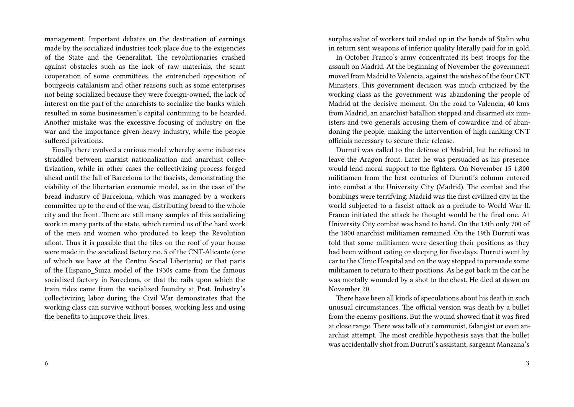management. Important debates on the destination of earnings made by the socialized industries took place due to the exigencies of the State and the Generalitat. The revolutionaries crashed against obstacles such as the lack of raw materials, the scant cooperation of some committees, the entrenched opposition of bourgeois catalanism and other reasons such as some enterprises not being socialized because they were foreign-owned, the lack of interest on the part of the anarchists to socialize the banks which resulted in some businessmen's capital continuing to be hoarded. Another mistake was the excessive focusing of industry on the war and the importance given heavy industry, while the people suffered privations.

Finally there evolved a curious model whereby some industries straddled between marxist nationalization and anarchist collectivization, while in other cases the collectivizing process forged ahead until the fall of Barcelona to the fascists, demonstrating the viability of the libertarian economic model, as in the case of the bread industry of Barcelona, which was managed by a workers committee up to the end of the war, distributing bread to the whole city and the front. There are still many samples of this socializing work in many parts of the state, which remind us of the hard work of the men and women who produced to keep the Revolution afloat. Thus it is possible that the tiles on the roof of your house were made in the socialized factory no. 5 of the CNT-Alicante (one of which we have at the Centro Social Libertario) or that parts of the Hispano\_Suiza model of the 1930s came from the famous socialized factory in Barcelona, or that the rails upon which the train rides came from the socialized foundry at Prat. Industry's collectivizing labor during the Civil War demonstrates that the working class can survive without bosses, working less and using the benefits to improve their lives.

surplus value of workers toil ended up in the hands of Stalin who in return sent weapons of inferior quality literally paid for in gold.

In October Franco's army concentrated its best troops for the assault on Madrid. At the beginning of November the government moved from Madrid to Valencia, against the wishes of the four CNT Ministers. This government decision was much criticized by the working class as the government was abandoning the people of Madrid at the decisive moment. On the road to Valencia, 40 kms from Madrid, an anarchist batallion stopped and disarmed six ministers and two generals accusing them of cowardice and of abandoning the people, making the intervention of high ranking CNT officials necessary to secure their release.

Durruti was called to the defense of Madrid, but he refused to leave the Aragon front. Later he was persuaded as his presence would lend moral support to the fighters. On November 15 1,800 militiamen from the best centuries of Durruti's column entered into combat a the University City (Madrid). The combat and the bombings were terrifying. Madrid was the first civilized city in the world subjected to a fascist attack as a prelude to World War II. Franco initiated the attack he thought would be the final one. At University City combat was hand to hand. On the 18th only 700 of the 1800 anarchist militiamen remained. On the 19th Durruti was told that some militiamen were deserting their positions as they had been without eating or sleeping for five days. Durruti went by car to the Clinic Hospital and on the way stopped to persuade some militiamen to return to their positions. As he got back in the car he was mortally wounded by a shot to the chest. He died at dawn on November 20.

There have been all kinds of speculations about his death in such unusual circumstances. The official version was death by a bullet from the enemy positions. But the wound showed that it was fired at close range. There was talk of a communist, falangist or even anarchist attempt. The most credible hypothesis says that the bullet was accidentally shot from Durruti's assistant, sargeant Manzana's